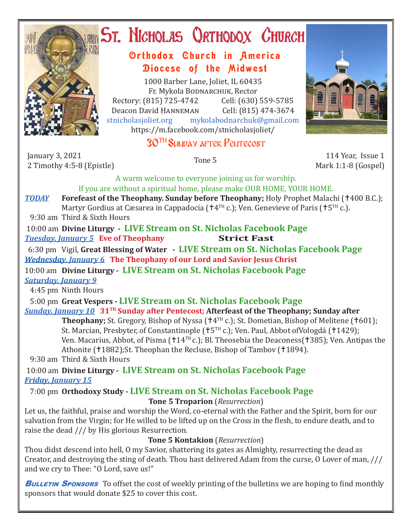

## **ST. NICHOLAS QRTHODOX CHURCH**

## Orthodox Church in America Diocese of the Midwest

1000 Barber Lane, Joliet, IL 60435 Fr. Mykola Bodnarchuk, Rector Rectory: (815) 725-4742 Cell: (630) 559-5785<br>Deacon David HANNEMAN Cell: (815) 474-3674 Deacon David Hanneman<br>stnicholasioliet.org mvk mykolabodnarchuk@gmail.com https://m.facebook.com/stnicholasjoliet/

## 30TH Sunday after Pentecost

January 3, 2021 2 Timothy 4:5-8 (Epistle) Tone 5 114 Year, Issue 1



Mark 1:1-8 (Gospel)

A warm welcome to everyone joining us for worship. If you are without a spiritual home, please make OUR HOME, YOUR HOME.

**TODAY Forefeast of the Theophany. Sunday before Theophany;** Holy Prophet Malachi (†400 B.C.); Martyr Gordius at Cæsarea in Cappadocia ( $\uparrow 4^{TH}$  c.); Ven. Genevieve of Paris ( $\uparrow 5^{TH}$  c.).

9:30 am Third & Sixth Hours

 10:00 am **Divine Liturgy - LIVE Stream on St. Nicholas Facebook Page Tuesday, January 5 Eve of Theophany** 

 6:30 pm Vigil, **Great Blessing of Water - LIVE Stream on St. Nicholas Facebook Page** *Wednesday, January 6* **The Theophany of our Lord and Savior Jesus Christ**

10:00 am **Divine Liturgy - LIVE Stream on St. Nicholas Facebook Page** *Saturday, January 9*

4:45 pm Ninth Hours

 5:00 pm **Great Vespers - LIVE Stream on St. Nicholas Facebook Page** *Sunday, January 10* **31TH Sunday after Pentecost; Afterfeast of the Theophany; Sunday after** 

**Theophany;** St. Gregory, Bishop of Nyssa  $(†4<sup>TH</sup> c.)$ ; St. Dometian, Bishop of Melitene  $(†601)$ ; St. Marcian, Presbyter, of Constantinople (†5<sup>TH</sup> c.); Ven. Paul, Abbot ofVologdá (†1429); Ven. Macarius, Abbot, of Pisma ( $14<sup>TH</sup>$ c.); Bl. Theosebia the Deaconess( $1385$ ); Ven. Antipas the Athonite (†1882);St. Theophan the Recluse, Bishop of Tambov (†1894).

9:30 am Third & Sixth Hours

 10:00 am **Divine Liturgy - LIVE Stream on St. Nicholas Facebook Page** *Friday, January 15* 

7:00 pm **Orthodoxy Study - LIVE Stream on St. Nicholas Facebook Page**

**Tone 5 Troparion** (*Resurrection*)

Let us, the faithful, praise and worship the Word, co-eternal with the Father and the Spirit, born for our salvation from the Virgin; for He willed to be lifted up on the Cross in the flesh, to endure death, and to raise the dead /// by His glorious Resurrection.

**Tone 5 Kontakion** (*Resurrection*)

Thou didst descend into hell, O my Savior, shattering its gates as Almighty, resurrecting the dead as Creator, and destroying the sting of death. Thou hast delivered Adam from the curse, O Lover of man, /// and we cry to Thee: "O Lord, save us!"

**BULLETIN SPONSORS** To offset the cost of weekly printing of the bulletins we are hoping to find monthly sponsors that would donate \$25 to cover this cost.